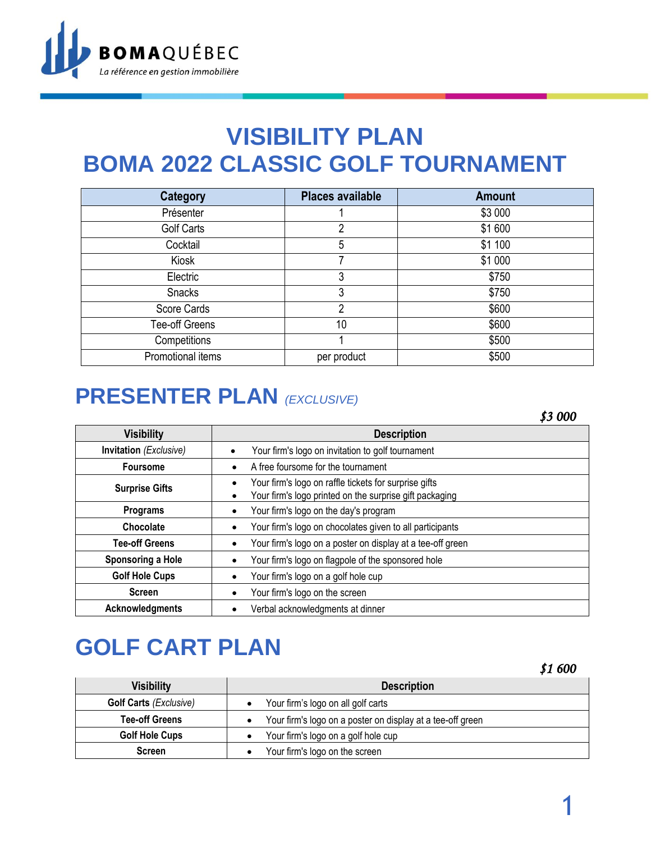

## **VISIBILITY PLAN BOMA 2022 CLASSIC GOLF TOURNAMENT**

| Category          | <b>Places available</b> | <b>Amount</b> |
|-------------------|-------------------------|---------------|
| Présenter         |                         | \$3 000       |
| <b>Golf Carts</b> | 2                       | \$1600        |
| Cocktail          | 5                       | \$1 100       |
| Kiosk             | 7                       | \$1 000       |
| Electric          | 3                       | \$750         |
| Snacks            | 3                       | \$750         |
| Score Cards       | 2                       | \$600         |
| Tee-off Greens    | 10                      | \$600         |
| Competitions      |                         | \$500         |
| Promotional items | per product             | \$500         |

## **PRESENTER PLAN** *(EXCLUSIVE)*

*\$3 000*

| <b>Visibility</b>      | <b>Description</b>                                                                                                    |
|------------------------|-----------------------------------------------------------------------------------------------------------------------|
| Invitation (Exclusive) | Your firm's logo on invitation to golf tournament                                                                     |
| <b>Foursome</b>        | A free foursome for the tournament                                                                                    |
| <b>Surprise Gifts</b>  | Your firm's logo on raffle tickets for surprise gifts<br>Your firm's logo printed on the surprise gift packaging<br>٠ |
| Programs               | Your firm's logo on the day's program                                                                                 |
| Chocolate              | Your firm's logo on chocolates given to all participants                                                              |
| <b>Tee-off Greens</b>  | Your firm's logo on a poster on display at a tee-off green                                                            |
| Sponsoring a Hole      | Your firm's logo on flagpole of the sponsored hole                                                                    |
| <b>Golf Hole Cups</b>  | Your firm's logo on a golf hole cup                                                                                   |
| <b>Screen</b>          | Your firm's logo on the screen                                                                                        |
| <b>Acknowledgments</b> | Verbal acknowledgments at dinner                                                                                      |

# **GOLF CART PLAN**

*\$1 600* 

| <b>Visibility</b>             | <b>Description</b>                                         |
|-------------------------------|------------------------------------------------------------|
| <b>Golf Carts (Exclusive)</b> | Your firm's logo on all golf carts                         |
| <b>Tee-off Greens</b>         | Your firm's logo on a poster on display at a tee-off green |
| <b>Golf Hole Cups</b>         | Your firm's logo on a golf hole cup                        |
| <b>Screen</b>                 | Your firm's logo on the screen                             |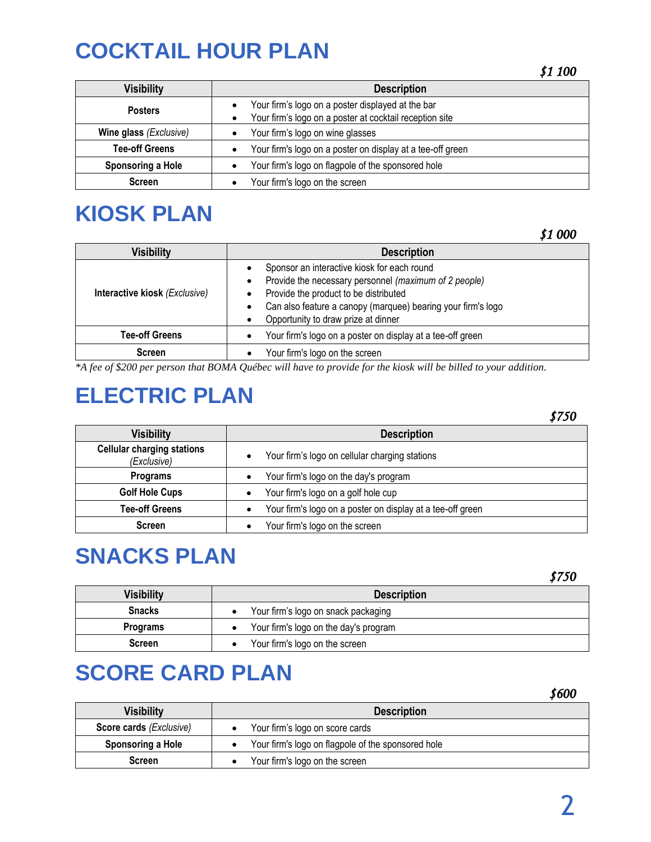## **COCKTAIL HOUR PLAN**

| <b>Visibility</b>             | <b>Description</b>                                                                                           |
|-------------------------------|--------------------------------------------------------------------------------------------------------------|
| <b>Posters</b>                | Your firm's logo on a poster displayed at the bar<br>Your firm's logo on a poster at cocktail reception site |
| <b>Wine glass (Exclusive)</b> | Your firm's logo on wine glasses                                                                             |
| <b>Tee-off Greens</b>         | Your firm's logo on a poster on display at a tee-off green                                                   |
| Sponsoring a Hole             | Your firm's logo on flagpole of the sponsored hole                                                           |
| <b>Screen</b>                 | Your firm's logo on the screen                                                                               |

### **KIOSK PLAN**

*\$1 000* 

| <b>Visibility</b>             | <b>Description</b>                                                                                                                                                                                                                                                                          |  |
|-------------------------------|---------------------------------------------------------------------------------------------------------------------------------------------------------------------------------------------------------------------------------------------------------------------------------------------|--|
| Interactive kiosk (Exclusive) | Sponsor an interactive kiosk for each round<br>$\bullet$<br>Provide the necessary personnel (maximum of 2 people)<br>$\bullet$<br>Provide the product to be distributed<br>Can also feature a canopy (marquee) bearing your firm's logo<br>$\bullet$<br>Opportunity to draw prize at dinner |  |
| <b>Tee-off Greens</b>         | Your firm's logo on a poster on display at a tee-off green<br>$\bullet$                                                                                                                                                                                                                     |  |
| <b>Screen</b>                 | Your firm's logo on the screen                                                                                                                                                                                                                                                              |  |

*\*A fee of \$200 per person that BOMA Québec will have to provide for the kiosk will be billed to your addition.*

## **ELECTRIC PLAN**

|                                                  |                                                            | \$750 |
|--------------------------------------------------|------------------------------------------------------------|-------|
| <b>Visibility</b>                                | <b>Description</b>                                         |       |
| <b>Cellular charging stations</b><br>(Exclusive) | Your firm's logo on cellular charging stations             |       |
| Programs                                         | Your firm's logo on the day's program                      |       |
| <b>Golf Hole Cups</b>                            | Your firm's logo on a golf hole cup                        |       |
| <b>Tee-off Greens</b>                            | Your firm's logo on a poster on display at a tee-off green |       |
| <b>Screen</b>                                    | Your firm's logo on the screen                             |       |

#### **SNACKS PLAN**

*\$750* 

*\$600* 

| Visibility    | <b>Description</b>                    |
|---------------|---------------------------------------|
| <b>Snacks</b> | Your firm's logo on snack packaging   |
| Programs      | Your firm's logo on the day's program |
| <b>Screen</b> | Your firm's logo on the screen        |

### **SCORE CARD PLAN**

|                                |                                                    | 30UU |
|--------------------------------|----------------------------------------------------|------|
| <b>Visibility</b>              | <b>Description</b>                                 |      |
| <b>Score cards (Exclusive)</b> | Your firm's logo on score cards                    |      |
| Sponsoring a Hole              | Your firm's logo on flagpole of the sponsored hole |      |
| <b>Screen</b>                  | Your firm's logo on the screen                     |      |